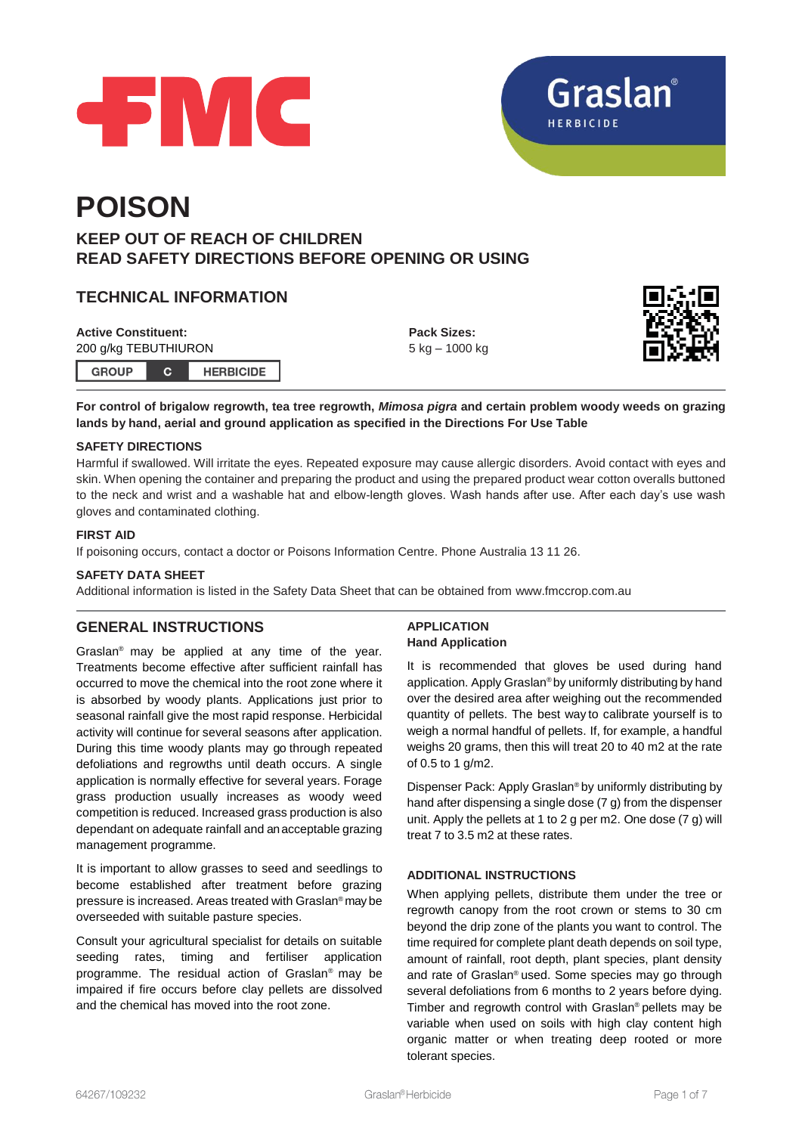



# **POISON**

# **KEEP OUT OF REACH OF CHILDREN READ SAFETY DIRECTIONS BEFORE OPENING OR USING**

# **TECHNICAL INFORMATION**

**Active Constituent:** 200 g/kg TEBUTHIURON **GROUP**  $\mathbf{C}$ **HERBICIDE**  **Pack Sizes:** 5 kg – 1000 kg



**For control of brigalow regrowth, tea tree regrowth,** *Mimosa pigra* **and certain problem woody weeds on grazing lands by hand, aerial and ground application as specified in the Directions For Use Table**

# **SAFETY DIRECTIONS**

Harmful if swallowed. Will irritate the eyes. Repeated exposure may cause allergic disorders. Avoid contact with eyes and skin. When opening the container and preparing the product and using the prepared product wear cotton overalls buttoned to the neck and wrist and a washable hat and elbow-length gloves. Wash hands after use. After each day's use wash gloves and contaminated clothing.

# **FIRST AID**

If poisoning occurs, contact a doctor or Poisons Information Centre. Phone Australia 13 11 26.

# **SAFETY DATA SHEET**

Additional information is listed in the Safety Data Sheet that can be obtained from [www.fmccrop.com.au](http://www.fmccrop.com.au/)

# **GENERAL INSTRUCTIONS**

Graslan® may be applied at any time of the year. Treatments become effective after sufficient rainfall has occurred to move the chemical into the root zone where it is absorbed by woody plants. Applications just prior to seasonal rainfall give the most rapid response. Herbicidal activity will continue for several seasons after application. During this time woody plants may go through repeated defoliations and regrowths until death occurs. A single application is normally effective for several years. Forage grass production usually increases as woody weed competition is reduced. Increased grass production is also dependant on adequate rainfall and an acceptable grazing management programme.

It is important to allow grasses to seed and seedlings to become established after treatment before grazing pressure is increased. Areas treated with Graslan® may be overseeded with suitable pasture species.

Consult your agricultural specialist for details on suitable seeding rates, timing and fertiliser application programme. The residual action of Graslan® may be impaired if fire occurs before clay pellets are dissolved and the chemical has moved into the root zone.

# **APPLICATION Hand Application**

It is recommended that gloves be used during hand application. Apply Graslan® by uniformly distributing by hand over the desired area after weighing out the recommended quantity of pellets. The best way to calibrate yourself is to weigh a normal handful of pellets. If, for example, a handful weighs 20 grams, then this will treat 20 to 40 m2 at the rate of 0.5 to 1 g/m2.

Dispenser Pack: Apply Graslan® by uniformly distributing by hand after dispensing a single dose (7 g) from the dispenser unit. Apply the pellets at 1 to 2 g per m2. One dose (7 g) will treat 7 to 3.5 m2 at these rates.

# **ADDITIONAL INSTRUCTIONS**

When applying pellets, distribute them under the tree or regrowth canopy from the root crown or stems to 30 cm beyond the drip zone of the plants you want to control. The time required for complete plant death depends on soil type, amount of rainfall, root depth, plant species, plant density and rate of Graslan® used. Some species may go through several defoliations from 6 months to 2 years before dying. Timber and regrowth control with Graslan® pellets may be variable when used on soils with high clay content high organic matter or when treating deep rooted or more tolerant species.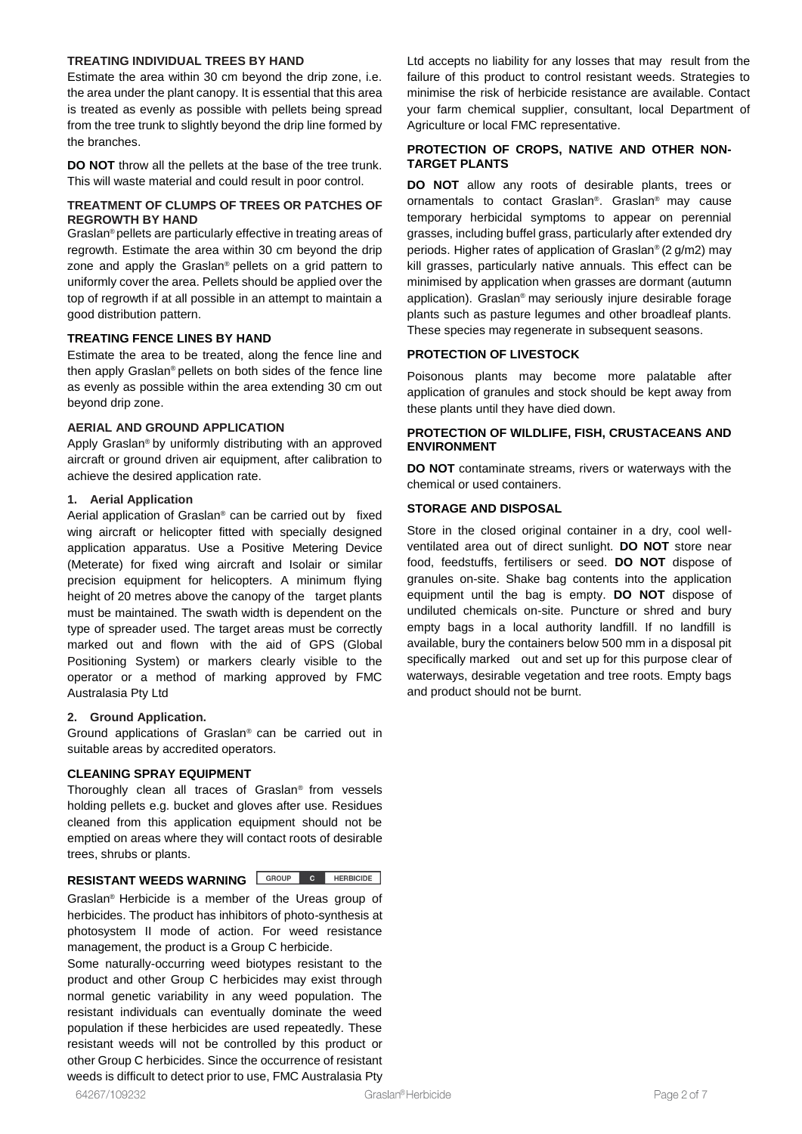#### **TREATING INDIVIDUAL TREES BY HAND**

Estimate the area within 30 cm beyond the drip zone, i.e. the area under the plant canopy. It is essential that this area is treated as evenly as possible with pellets being spread from the tree trunk to slightly beyond the drip line formed by the branches.

**DO NOT** throw all the pellets at the base of the tree trunk. This will waste material and could result in poor control.

#### **TREATMENT OF CLUMPS OF TREES OR PATCHES OF REGROWTH BY HAND**

Graslan® pellets are particularly effective in treating areas of regrowth. Estimate the area within 30 cm beyond the drip zone and apply the Graslan® pellets on a grid pattern to uniformly cover the area. Pellets should be applied over the top of regrowth if at all possible in an attempt to maintain a good distribution pattern.

#### **TREATING FENCE LINES BY HAND**

Estimate the area to be treated, along the fence line and then apply Graslan® pellets on both sides of the fence line as evenly as possible within the area extending 30 cm out beyond drip zone.

#### **AERIAL AND GROUND APPLICATION**

Apply Graslan® by uniformly distributing with an approved aircraft or ground driven air equipment, after calibration to achieve the desired application rate.

#### **1. Aerial Application**

Aerial application of Graslan® can be carried out by fixed wing aircraft or helicopter fitted with specially designed application apparatus. Use a Positive Metering Device (Meterate) for fixed wing aircraft and Isolair or similar precision equipment for helicopters. A minimum flying height of 20 metres above the canopy of the target plants must be maintained. The swath width is dependent on the type of spreader used. The target areas must be correctly marked out and flown with the aid of GPS (Global Positioning System) or markers clearly visible to the operator or a method of marking approved by FMC Australasia Pty Ltd

#### **2. Ground Application.**

Ground applications of Graslan® can be carried out in suitable areas by accredited operators.

# **CLEANING SPRAY EQUIPMENT**

Thoroughly clean all traces of Graslan® from vessels holding pellets e.g. bucket and gloves after use. Residues cleaned from this application equipment should not be emptied on areas where they will contact roots of desirable trees, shrubs or plants.

# **RESISTANT WEEDS WARNING GROUP C HERBICIDE**

Graslan® Herbicide is a member of the Ureas group of herbicides. The product has inhibitors of photo-synthesis at photosystem II mode of action. For weed resistance management, the product is a Group C herbicide.

Some naturally-occurring weed biotypes resistant to the product and other Group C herbicides may exist through normal genetic variability in any weed population. The resistant individuals can eventually dominate the weed population if these herbicides are used repeatedly. These resistant weeds will not be controlled by this product or other Group C herbicides. Since the occurrence of resistant weeds is difficult to detect prior to use, FMC Australasia Pty Ltd accepts no liability for any losses that may result from the failure of this product to control resistant weeds. Strategies to minimise the risk of herbicide resistance are available. Contact your farm chemical supplier, consultant, local Department of Agriculture or local FMC representative.

#### **PROTECTION OF CROPS, NATIVE AND OTHER NON-TARGET PLANTS**

**DO NOT** allow any roots of desirable plants, trees or ornamentals to contact Graslan® . Graslan® may cause temporary herbicidal symptoms to appear on perennial grasses, including buffel grass, particularly after extended dry periods. Higher rates of application of Graslan® (2 g/m2) may kill grasses, particularly native annuals. This effect can be minimised by application when grasses are dormant (autumn application). Graslan® may seriously injure desirable forage plants such as pasture legumes and other broadleaf plants. These species may regenerate in subsequent seasons.

# **PROTECTION OF LIVESTOCK**

Poisonous plants may become more palatable after application of granules and stock should be kept away from these plants until they have died down.

#### **PROTECTION OF WILDLIFE, FISH, CRUSTACEANS AND ENVIRONMENT**

**DO NOT** contaminate streams, rivers or waterways with the chemical or used containers.

# **STORAGE AND DISPOSAL**

Store in the closed original container in a dry, cool wellventilated area out of direct sunlight. **DO NOT** store near food, feedstuffs, fertilisers or seed. **DO NOT** dispose of granules on-site. Shake bag contents into the application equipment until the bag is empty. **DO NOT** dispose of undiluted chemicals on-site. Puncture or shred and bury empty bags in a local authority landfill. If no landfill is available, bury the containers below 500 mm in a disposal pit specifically marked out and set up for this purpose clear of waterways, desirable vegetation and tree roots. Empty bags and product should not be burnt.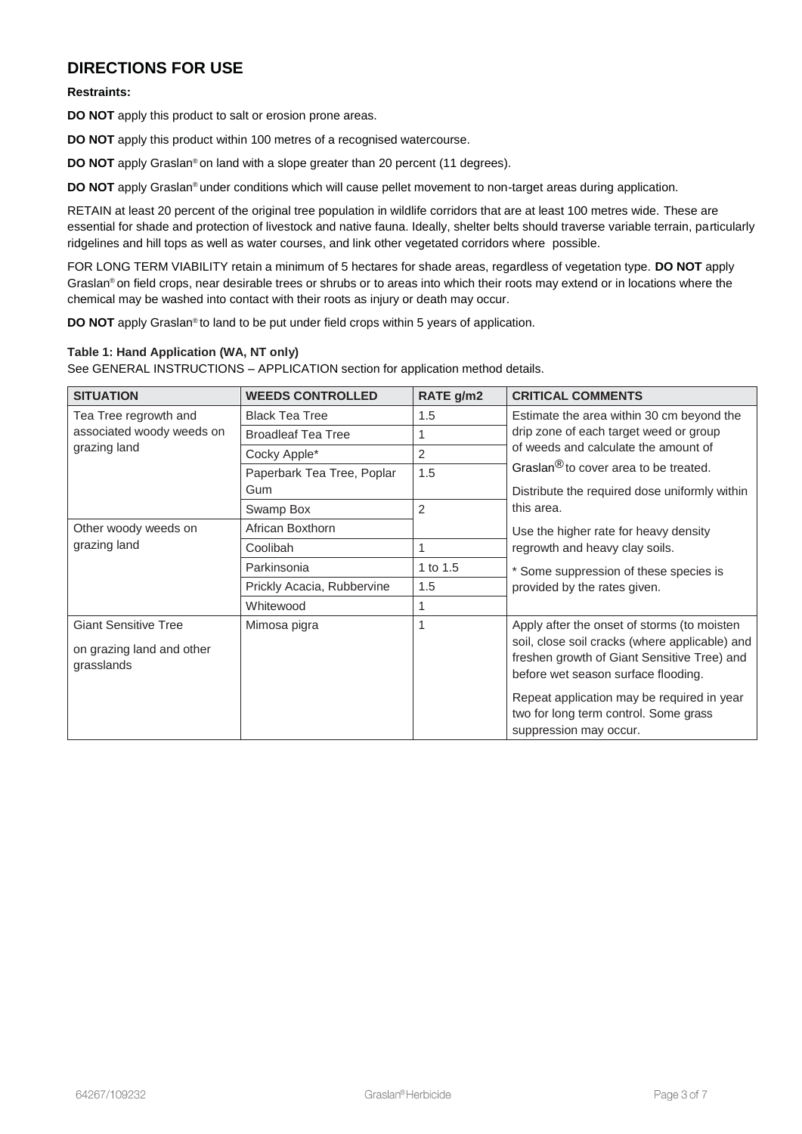# **DIRECTIONS FOR USE**

#### **Restraints:**

**DO NOT** apply this product to salt or erosion prone areas.

**DO NOT** apply this product within 100 metres of a recognised watercourse.

**DO NOT** apply Graslan® on land with a slope greater than 20 percent (11 degrees).

**DO NOT** apply Graslan® under conditions which will cause pellet movement to non-target areas during application.

RETAIN at least 20 percent of the original tree population in wildlife corridors that are at least 100 metres wide. These are essential for shade and protection of livestock and native fauna. Ideally, shelter belts should traverse variable terrain, particularly ridgelines and hill tops as well as water courses, and link other vegetated corridors where possible.

FOR LONG TERM VIABILITY retain a minimum of 5 hectares for shade areas, regardless of vegetation type. **DO NOT** apply Graslan® on field crops, near desirable trees or shrubs or to areas into which their roots may extend or in locations where the chemical may be washed into contact with their roots as injury or death may occur.

**DO NOT** apply Graslan<sup>®</sup> to land to be put under field crops within 5 years of application.

#### **Table 1: Hand Application (WA, NT only)**

See GENERAL INSTRUCTIONS – APPLICATION section for application method details.

| <b>SITUATION</b>                                                       | <b>WEEDS CONTROLLED</b>    | RATE g/m2      | <b>CRITICAL COMMENTS</b>                                                                                                                                                            |  |
|------------------------------------------------------------------------|----------------------------|----------------|-------------------------------------------------------------------------------------------------------------------------------------------------------------------------------------|--|
| Tea Tree regrowth and<br>associated woody weeds on<br>grazing land     | <b>Black Tea Tree</b>      | 1.5            | Estimate the area within 30 cm beyond the                                                                                                                                           |  |
|                                                                        | <b>Broadleaf Tea Tree</b>  | 1              | drip zone of each target weed or group<br>of weeds and calculate the amount of                                                                                                      |  |
|                                                                        | Cocky Apple*               | 2              |                                                                                                                                                                                     |  |
|                                                                        | Paperbark Tea Tree, Poplar | 1.5            | Graslan <sup>®</sup> to cover area to be treated.                                                                                                                                   |  |
|                                                                        | Gum                        |                | Distribute the required dose uniformly within                                                                                                                                       |  |
|                                                                        | Swamp Box                  | $\overline{2}$ | this area.                                                                                                                                                                          |  |
| Other woody weeds on<br>grazing land                                   | African Boxthorn           |                | Use the higher rate for heavy density                                                                                                                                               |  |
|                                                                        | Coolibah                   | 1              | regrowth and heavy clay soils.                                                                                                                                                      |  |
|                                                                        | Parkinsonia                | 1 to 1.5       | * Some suppression of these species is                                                                                                                                              |  |
|                                                                        | Prickly Acacia, Rubbervine | 1.5            | provided by the rates given.                                                                                                                                                        |  |
|                                                                        | Whitewood                  | 1              |                                                                                                                                                                                     |  |
| <b>Giant Sensitive Tree</b><br>on grazing land and other<br>grasslands | Mimosa pigra               | 1              | Apply after the onset of storms (to moisten<br>soil, close soil cracks (where applicable) and<br>freshen growth of Giant Sensitive Tree) and<br>before wet season surface flooding. |  |
|                                                                        |                            |                | Repeat application may be required in year<br>two for long term control. Some grass<br>suppression may occur.                                                                       |  |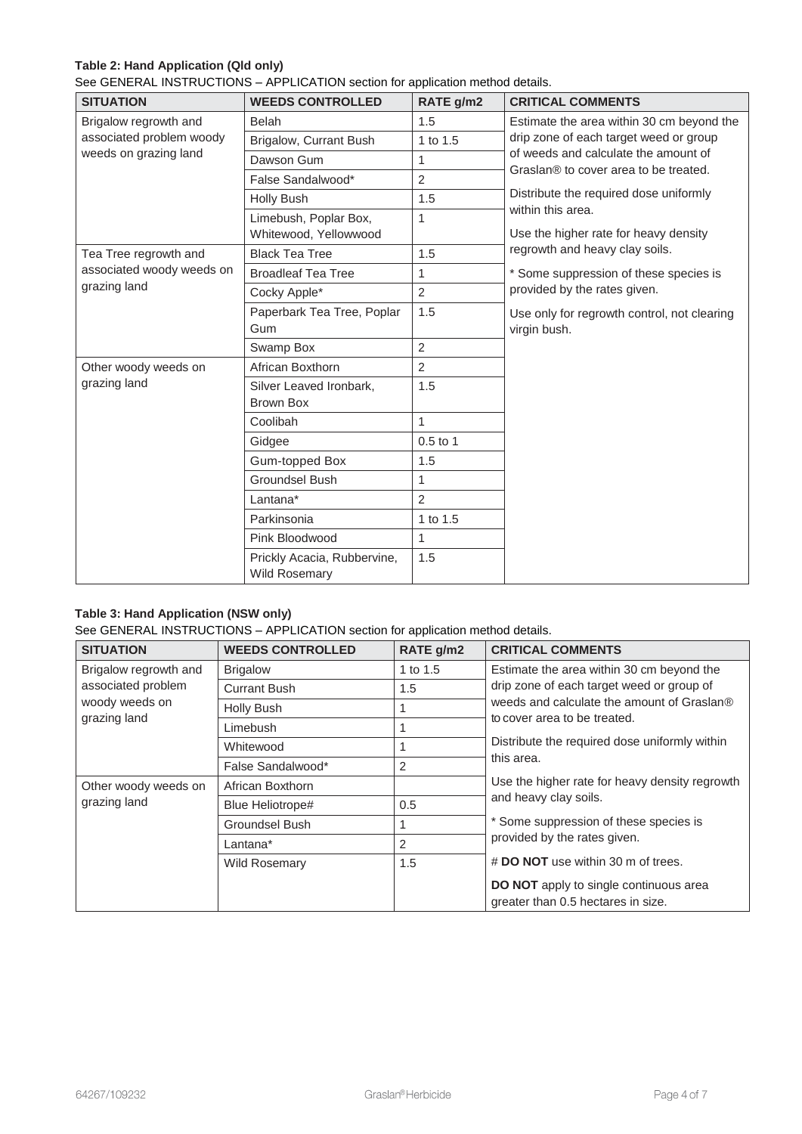# **Table 2: Hand Application (Qld only)**

See GENERAL INSTRUCTIONS – APPLICATION section for application method details.

| <b>SITUATION</b>                          | <b>WEEDS CONTROLLED</b>        | RATE g/m2      | <b>CRITICAL COMMENTS</b>                                                                                                                                                                                                                                                     |  |
|-------------------------------------------|--------------------------------|----------------|------------------------------------------------------------------------------------------------------------------------------------------------------------------------------------------------------------------------------------------------------------------------------|--|
| Brigalow regrowth and                     | <b>Belah</b>                   | 1.5            | Estimate the area within 30 cm beyond the<br>drip zone of each target weed or group<br>of weeds and calculate the amount of<br>Graslan® to cover area to be treated.<br>Distribute the required dose uniformly<br>within this area.<br>Use the higher rate for heavy density |  |
| associated problem woody                  | Brigalow, Currant Bush         | 1 to 1.5       |                                                                                                                                                                                                                                                                              |  |
| weeds on grazing land                     | Dawson Gum                     | $\mathbf{1}$   |                                                                                                                                                                                                                                                                              |  |
|                                           | False Sandalwood*              | $\overline{2}$ |                                                                                                                                                                                                                                                                              |  |
|                                           | <b>Holly Bush</b>              | 1.5            |                                                                                                                                                                                                                                                                              |  |
|                                           | Limebush, Poplar Box,          | 1              |                                                                                                                                                                                                                                                                              |  |
|                                           | Whitewood, Yellowwood          |                |                                                                                                                                                                                                                                                                              |  |
| Tea Tree regrowth and                     | <b>Black Tea Tree</b>          | 1.5            | regrowth and heavy clay soils.                                                                                                                                                                                                                                               |  |
| associated woody weeds on<br>grazing land | <b>Broadleaf Tea Tree</b>      | 1              | * Some suppression of these species is                                                                                                                                                                                                                                       |  |
|                                           | Cocky Apple*                   | 2              | provided by the rates given.                                                                                                                                                                                                                                                 |  |
|                                           | Paperbark Tea Tree, Poplar     | 1.5            | Use only for regrowth control, not clearing                                                                                                                                                                                                                                  |  |
|                                           | Gum                            |                | virgin bush.                                                                                                                                                                                                                                                                 |  |
|                                           | Swamp Box                      | $\overline{2}$ |                                                                                                                                                                                                                                                                              |  |
| Other woody weeds on                      | African Boxthorn               | $\overline{2}$ |                                                                                                                                                                                                                                                                              |  |
| grazing land                              | 1.5<br>Silver Leaved Ironbark. |                |                                                                                                                                                                                                                                                                              |  |
|                                           | Brown Box                      |                |                                                                                                                                                                                                                                                                              |  |
|                                           | Coolibah                       | $\mathbf{1}$   |                                                                                                                                                                                                                                                                              |  |
|                                           | Gidgee                         | $0.5$ to 1     |                                                                                                                                                                                                                                                                              |  |
|                                           | Gum-topped Box                 | 1.5            |                                                                                                                                                                                                                                                                              |  |
|                                           | <b>Groundsel Bush</b>          | 1              |                                                                                                                                                                                                                                                                              |  |
|                                           | Lantana*                       | $\overline{2}$ |                                                                                                                                                                                                                                                                              |  |
|                                           | Parkinsonia                    | 1 to 1.5       |                                                                                                                                                                                                                                                                              |  |
|                                           | Pink Bloodwood                 | 1              |                                                                                                                                                                                                                                                                              |  |
|                                           | Prickly Acacia, Rubbervine,    | 1.5            |                                                                                                                                                                                                                                                                              |  |
|                                           | <b>Wild Rosemary</b>           |                |                                                                                                                                                                                                                                                                              |  |

# **Table 3: Hand Application (NSW only)**

See GENERAL INSTRUCTIONS – APPLICATION section for application method details.

| <b>SITUATION</b>                                                              | <b>WEEDS CONTROLLED</b> | RATE g/m2      | <b>CRITICAL COMMENTS</b>                                                                                                                                                                                                            |
|-------------------------------------------------------------------------------|-------------------------|----------------|-------------------------------------------------------------------------------------------------------------------------------------------------------------------------------------------------------------------------------------|
| Brigalow regrowth and<br>associated problem<br>woody weeds on<br>grazing land | <b>Brigalow</b>         | 1 to 1.5       | Estimate the area within 30 cm beyond the<br>drip zone of each target weed or group of<br>weeds and calculate the amount of Graslan®<br>to cover area to be treated.<br>Distribute the required dose uniformly within<br>this area. |
|                                                                               | <b>Currant Bush</b>     | 1.5            |                                                                                                                                                                                                                                     |
|                                                                               | Holly Bush              |                |                                                                                                                                                                                                                                     |
|                                                                               | Limebush                |                |                                                                                                                                                                                                                                     |
|                                                                               | Whitewood               |                |                                                                                                                                                                                                                                     |
|                                                                               | False Sandalwood*       | 2              |                                                                                                                                                                                                                                     |
| Other woody weeds on<br>grazing land                                          | African Boxthorn        |                | Use the higher rate for heavy density regrowth<br>and heavy clay soils.<br>* Some suppression of these species is<br>provided by the rates given.                                                                                   |
|                                                                               | Blue Heliotrope#        | 0.5            |                                                                                                                                                                                                                                     |
|                                                                               | Groundsel Bush          |                |                                                                                                                                                                                                                                     |
|                                                                               | Lantana*                | $\overline{2}$ |                                                                                                                                                                                                                                     |
|                                                                               | <b>Wild Rosemary</b>    | 1.5            | # DO NOT use within 30 m of trees.                                                                                                                                                                                                  |
|                                                                               |                         |                | <b>DO NOT</b> apply to single continuous area<br>greater than 0.5 hectares in size.                                                                                                                                                 |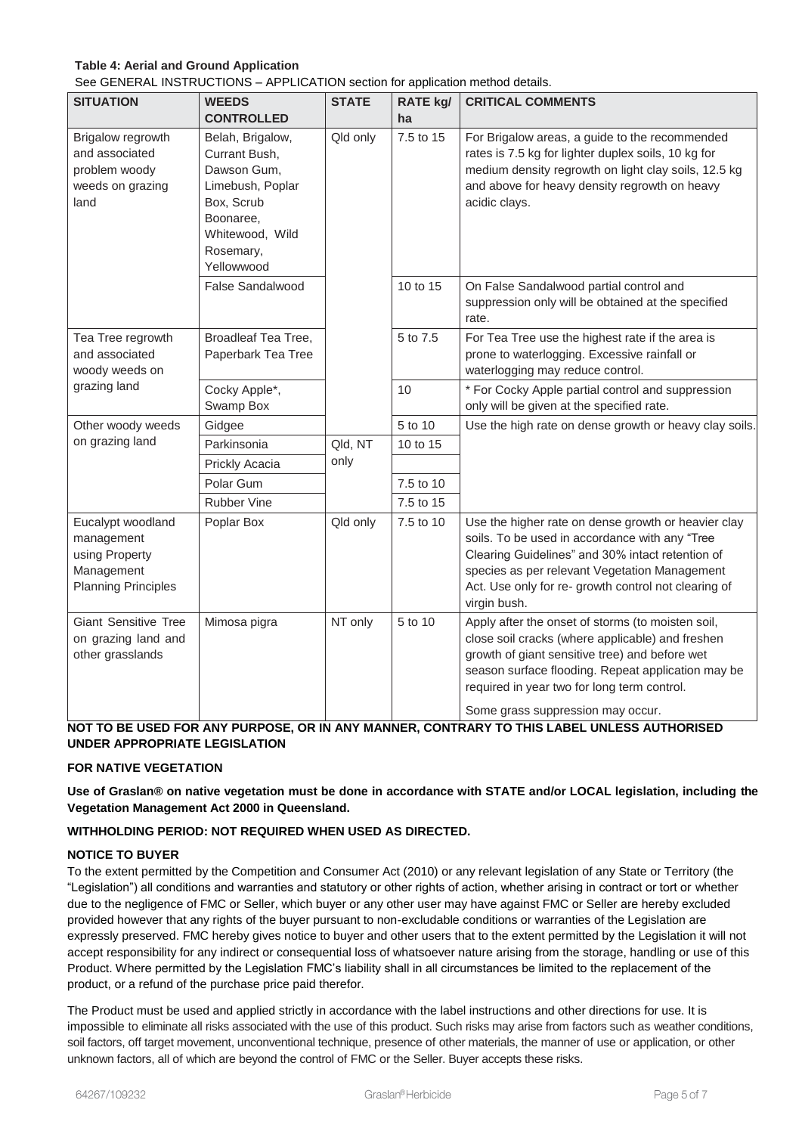# **Table 4: Aerial and Ground Application**

See GENERAL INSTRUCTIONS – APPLICATION section for application method details.

| <b>SITUATION</b>                                                                              | <b>WEEDS</b>                                                                                                                                  | <b>STATE</b> | . .<br>RATE kg/ | <b>CRITICAL COMMENTS</b>                                                                                                                                                                                                                                                                          |
|-----------------------------------------------------------------------------------------------|-----------------------------------------------------------------------------------------------------------------------------------------------|--------------|-----------------|---------------------------------------------------------------------------------------------------------------------------------------------------------------------------------------------------------------------------------------------------------------------------------------------------|
|                                                                                               | <b>CONTROLLED</b>                                                                                                                             |              | ha              |                                                                                                                                                                                                                                                                                                   |
| Brigalow regrowth<br>and associated<br>problem woody<br>weeds on grazing<br>land              | Belah, Brigalow,<br>Currant Bush,<br>Dawson Gum,<br>Limebush, Poplar<br>Box, Scrub<br>Boonaree,<br>Whitewood, Wild<br>Rosemary,<br>Yellowwood | Qld only     | 7.5 to 15       | For Brigalow areas, a guide to the recommended<br>rates is 7.5 kg for lighter duplex soils, 10 kg for<br>medium density regrowth on light clay soils, 12.5 kg<br>and above for heavy density regrowth on heavy<br>acidic clays.                                                                   |
|                                                                                               | <b>False Sandalwood</b>                                                                                                                       |              | 10 to 15        | On False Sandalwood partial control and<br>suppression only will be obtained at the specified<br>rate.                                                                                                                                                                                            |
| Tea Tree regrowth<br>and associated<br>woody weeds on                                         | <b>Broadleaf Tea Tree,</b><br>Paperbark Tea Tree                                                                                              |              | 5 to 7.5        | For Tea Tree use the highest rate if the area is<br>prone to waterlogging. Excessive rainfall or<br>waterlogging may reduce control.                                                                                                                                                              |
| grazing land                                                                                  | Cocky Apple*,<br>Swamp Box                                                                                                                    |              | 10              | * For Cocky Apple partial control and suppression<br>only will be given at the specified rate.                                                                                                                                                                                                    |
| Other woody weeds                                                                             | Gidgee                                                                                                                                        |              | 5 to 10         | Use the high rate on dense growth or heavy clay soils.                                                                                                                                                                                                                                            |
| on grazing land                                                                               | Parkinsonia                                                                                                                                   | Qld, NT      | 10 to 15        |                                                                                                                                                                                                                                                                                                   |
|                                                                                               | Prickly Acacia                                                                                                                                | only         |                 |                                                                                                                                                                                                                                                                                                   |
|                                                                                               | Polar Gum                                                                                                                                     |              | 7.5 to 10       |                                                                                                                                                                                                                                                                                                   |
|                                                                                               | <b>Rubber Vine</b>                                                                                                                            |              | 7.5 to 15       |                                                                                                                                                                                                                                                                                                   |
| Eucalypt woodland<br>management<br>using Property<br>Management<br><b>Planning Principles</b> | Poplar Box                                                                                                                                    | Qld only     | 7.5 to 10       | Use the higher rate on dense growth or heavier clay<br>soils. To be used in accordance with any "Tree<br>Clearing Guidelines" and 30% intact retention of<br>species as per relevant Vegetation Management<br>Act. Use only for re- growth control not clearing of<br>virgin bush.                |
| <b>Giant Sensitive Tree</b><br>on grazing land and<br>other grasslands                        | Mimosa pigra                                                                                                                                  | NT only      | 5 to 10         | Apply after the onset of storms (to moisten soil,<br>close soil cracks (where applicable) and freshen<br>growth of giant sensitive tree) and before wet<br>season surface flooding. Repeat application may be<br>required in year two for long term control.<br>Some grass suppression may occur. |

**NOT TO BE USED FOR ANY PURPOSE, OR IN ANY MANNER, CONTRARY TO THIS LABEL UNLESS AUTHORISED UNDER APPROPRIATE LEGISLATION**

# **FOR NATIVE VEGETATION**

**Use of Graslan® on native vegetation must be done in accordance with STATE and/or LOCAL legislation, including the Vegetation Management Act 2000 in Queensland.**

# **WITHHOLDING PERIOD: NOT REQUIRED WHEN USED AS DIRECTED.**

#### **NOTICE TO BUYER**

To the extent permitted by the Competition and Consumer Act (2010) or any relevant legislation of any State or Territory (the "Legislation") all conditions and warranties and statutory or other rights of action, whether arising in contract or tort or whether due to the negligence of FMC or Seller, which buyer or any other user may have against FMC or Seller are hereby excluded provided however that any rights of the buyer pursuant to non-excludable conditions or warranties of the Legislation are expressly preserved. FMC hereby gives notice to buyer and other users that to the extent permitted by the Legislation it will not accept responsibility for any indirect or consequential loss of whatsoever nature arising from the storage, handling or use of this Product. Where permitted by the Legislation FMC's liability shall in all circumstances be limited to the replacement of the product, or a refund of the purchase price paid therefor.

The Product must be used and applied strictly in accordance with the label instructions and other directions for use. It is impossible to eliminate all risks associated with the use of this product. Such risks may arise from factors such as weather conditions, soil factors, off target movement, unconventional technique, presence of other materials, the manner of use or application, or other unknown factors, all of which are beyond the control of FMC or the Seller. Buyer accepts these risks.